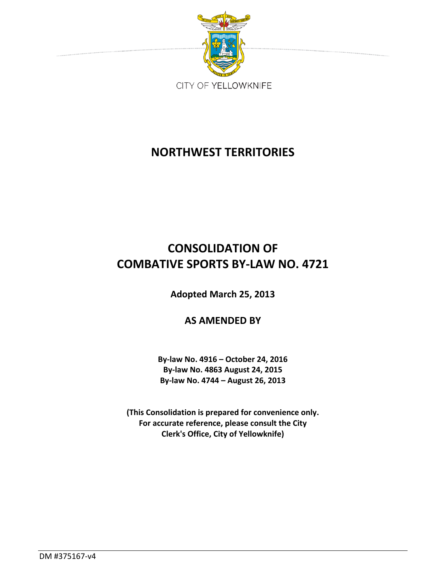

# **NORTHWEST TERRITORIES**

# **CONSOLIDATION OF COMBATIVE SPORTS BY-LAW NO. 4721**

**Adopted March 25, 2013**

**AS AMENDED BY**

**By-law No. 4916 – October 24, 2016 By-law No. 4863 August 24, 2015 By-law No. 4744 – August 26, 2013** 

**(This Consolidation is prepared for convenience only. For accurate reference, please consult the City Clerk's Office, City of Yellowknife)**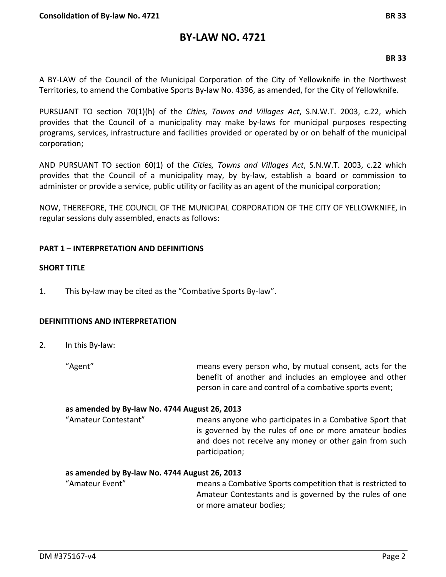# **BY-LAW NO. 4721**

## **BR 33**

A BY-LAW of the Council of the Municipal Corporation of the City of Yellowknife in the Northwest Territories, to amend the Combative Sports By-law No. 4396, as amended, for the City of Yellowknife.

PURSUANT TO section 70(1)(h) of the *Cities, Towns and Villages Act*, S.N.W.T. 2003, c.22, which provides that the Council of a municipality may make by-laws for municipal purposes respecting programs, services, infrastructure and facilities provided or operated by or on behalf of the municipal corporation;

AND PURSUANT TO section 60(1) of the *Cities, Towns and Villages Act*, S.N.W.T. 2003, c.22 which provides that the Council of a municipality may, by by-law, establish a board or commission to administer or provide a service, public utility or facility as an agent of the municipal corporation;

NOW, THEREFORE, THE COUNCIL OF THE MUNICIPAL CORPORATION OF THE CITY OF YELLOWKNIFE, in regular sessions duly assembled, enacts as follows:

## **PART 1 – INTERPRETATION AND DEFINITIONS**

## **SHORT TITLE**

1. This by-law may be cited as the "Combative Sports By-law".

## **DEFINITITIONS AND INTERPRETATION**

2. In this By-law:

"Agent" means every person who, by mutual consent, acts for the benefit of another and includes an employee and other person in care and control of a combative sports event;

## **as amended by By-law No. 4744 August 26, 2013**

"Amateur Contestant" means anyone who participates in a Combative Sport that is governed by the rules of one or more amateur bodies and does not receive any money or other gain from such participation;

## **as amended by By-law No. 4744 August 26, 2013**

"Amateur Event" means a Combative Sports competition that is restricted to Amateur Contestants and is governed by the rules of one or more amateur bodies;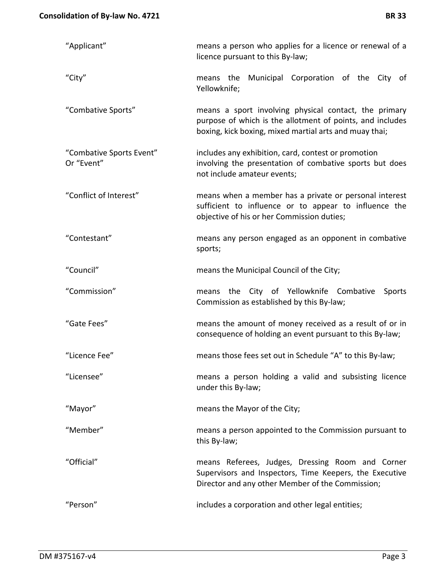| <b>BR33</b> |  |
|-------------|--|
|             |  |

| "Applicant"                            | means a person who applies for a licence or renewal of a<br>licence pursuant to this By-law;                                                                                 |  |
|----------------------------------------|------------------------------------------------------------------------------------------------------------------------------------------------------------------------------|--|
| "City"                                 | Municipal Corporation of the City of<br>means the<br>Yellowknife;                                                                                                            |  |
| "Combative Sports"                     | means a sport involving physical contact, the primary<br>purpose of which is the allotment of points, and includes<br>boxing, kick boxing, mixed martial arts and muay thai; |  |
| "Combative Sports Event"<br>Or "Event" | includes any exhibition, card, contest or promotion<br>involving the presentation of combative sports but does<br>not include amateur events;                                |  |
| "Conflict of Interest"                 | means when a member has a private or personal interest<br>sufficient to influence or to appear to influence the<br>objective of his or her Commission duties;                |  |
| "Contestant"                           | means any person engaged as an opponent in combative<br>sports;                                                                                                              |  |
| "Council"                              | means the Municipal Council of the City;                                                                                                                                     |  |
| "Commission"                           | means the City of Yellowknife Combative<br>Sports<br>Commission as established by this By-law;                                                                               |  |
| "Gate Fees"                            | means the amount of money received as a result of or in<br>consequence of holding an event pursuant to this By-law;                                                          |  |
| "Licence Fee"                          | means those fees set out in Schedule "A" to this By-law;                                                                                                                     |  |
| "Licensee"                             | means a person holding a valid and subsisting licence<br>under this By-law;                                                                                                  |  |
| "Mayor"                                | means the Mayor of the City;                                                                                                                                                 |  |
| "Member"                               | means a person appointed to the Commission pursuant to<br>this By-law;                                                                                                       |  |
| "Official"                             | means Referees, Judges, Dressing Room and Corner<br>Supervisors and Inspectors, Time Keepers, the Executive<br>Director and any other Member of the Commission;              |  |
| "Person"                               | includes a corporation and other legal entities;                                                                                                                             |  |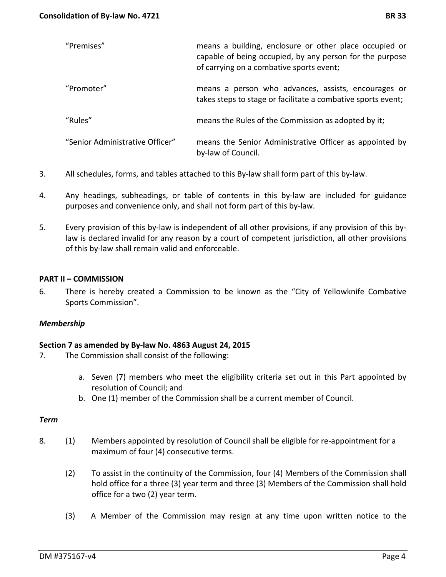| "Premises"                      | means a building, enclosure or other place occupied or<br>capable of being occupied, by any person for the purpose<br>of carrying on a combative sports event; |
|---------------------------------|----------------------------------------------------------------------------------------------------------------------------------------------------------------|
| "Promoter"                      | means a person who advances, assists, encourages or<br>takes steps to stage or facilitate a combative sports event;                                            |
| "Rules"                         | means the Rules of the Commission as adopted by it;                                                                                                            |
| "Senior Administrative Officer" | means the Senior Administrative Officer as appointed by<br>by-law of Council.                                                                                  |

- 3. All schedules, forms, and tables attached to this By-law shall form part of this by-law.
- 4. Any headings, subheadings, or table of contents in this by-law are included for guidance purposes and convenience only, and shall not form part of this by-law.
- 5. Every provision of this by-law is independent of all other provisions, if any provision of this bylaw is declared invalid for any reason by a court of competent jurisdiction, all other provisions of this by-law shall remain valid and enforceable.

## **PART II – COMMISSION**

6. There is hereby created a Commission to be known as the "City of Yellowknife Combative Sports Commission".

## *Membership*

## **Section 7 as amended by By-law No. 4863 August 24, 2015**

- 7. The Commission shall consist of the following:
	- a. Seven (7) members who meet the eligibility criteria set out in this Part appointed by resolution of Council; and
	- b. One (1) member of the Commission shall be a current member of Council.

#### *Term*

- 8. (1) Members appointed by resolution of Council shall be eligible for re-appointment for a maximum of four (4) consecutive terms.
	- (2) To assist in the continuity of the Commission, four (4) Members of the Commission shall hold office for a three (3) year term and three (3) Members of the Commission shall hold office for a two (2) year term.
	- (3) A Member of the Commission may resign at any time upon written notice to the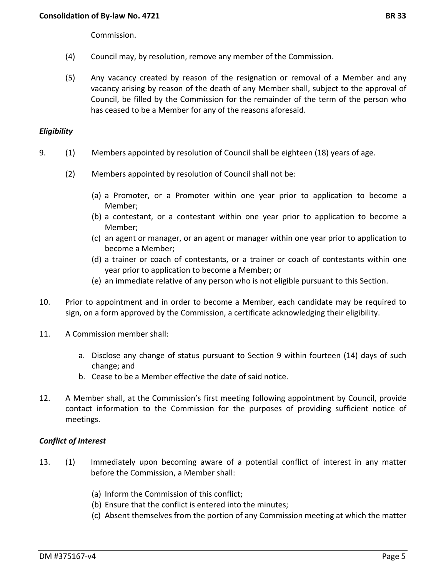Commission.

- (4) Council may, by resolution, remove any member of the Commission.
- (5) Any vacancy created by reason of the resignation or removal of a Member and any vacancy arising by reason of the death of any Member shall, subject to the approval of Council, be filled by the Commission for the remainder of the term of the person who has ceased to be a Member for any of the reasons aforesaid.

## *Eligibility*

- 9. (1) Members appointed by resolution of Council shall be eighteen (18) years of age.
	- (2) Members appointed by resolution of Council shall not be:
		- (a) a Promoter, or a Promoter within one year prior to application to become a Member;
		- (b) a contestant, or a contestant within one year prior to application to become a Member;
		- (c) an agent or manager, or an agent or manager within one year prior to application to become a Member;
		- (d) a trainer or coach of contestants, or a trainer or coach of contestants within one year prior to application to become a Member; or
		- (e) an immediate relative of any person who is not eligible pursuant to this Section.
- 10. Prior to appointment and in order to become a Member, each candidate may be required to sign, on a form approved by the Commission, a certificate acknowledging their eligibility.
- 11. A Commission member shall:
	- a. Disclose any change of status pursuant to Section 9 within fourteen (14) days of such change; and
	- b. Cease to be a Member effective the date of said notice.
- 12. A Member shall, at the Commission's first meeting following appointment by Council, provide contact information to the Commission for the purposes of providing sufficient notice of meetings.

# *Conflict of Interest*

- 13. (1) Immediately upon becoming aware of a potential conflict of interest in any matter before the Commission, a Member shall:
	- (a) Inform the Commission of this conflict;
	- (b) Ensure that the conflict is entered into the minutes;
	- (c) Absent themselves from the portion of any Commission meeting at which the matter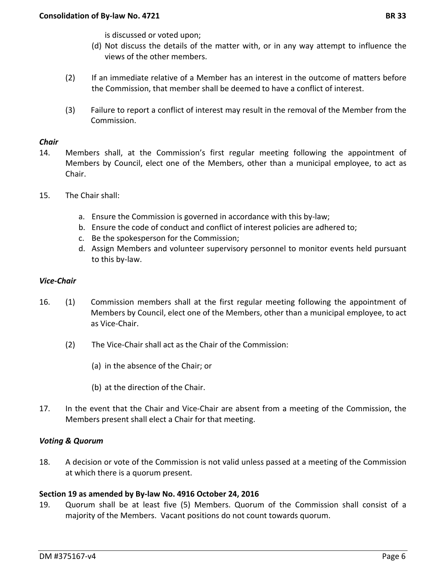is discussed or voted upon;

- (d) Not discuss the details of the matter with, or in any way attempt to influence the views of the other members.
- (2) If an immediate relative of a Member has an interest in the outcome of matters before the Commission, that member shall be deemed to have a conflict of interest.
- (3) Failure to report a conflict of interest may result in the removal of the Member from the Commission.

## *Chair*

- 14. Members shall, at the Commission's first regular meeting following the appointment of Members by Council, elect one of the Members, other than a municipal employee, to act as Chair.
- 15. The Chair shall:
	- a. Ensure the Commission is governed in accordance with this by-law;
	- b. Ensure the code of conduct and conflict of interest policies are adhered to;
	- c. Be the spokesperson for the Commission;
	- d. Assign Members and volunteer supervisory personnel to monitor events held pursuant to this by-law.

## *Vice-Chair*

- 16. (1) Commission members shall at the first regular meeting following the appointment of Members by Council, elect one of the Members, other than a municipal employee, to act as Vice-Chair.
	- (2) The Vice-Chair shall act as the Chair of the Commission:
		- (a) in the absence of the Chair; or
		- (b) at the direction of the Chair.
- 17. In the event that the Chair and Vice-Chair are absent from a meeting of the Commission, the Members present shall elect a Chair for that meeting.

## *Voting & Quorum*

18. A decision or vote of the Commission is not valid unless passed at a meeting of the Commission at which there is a quorum present.

## **Section 19 as amended by By-law No. 4916 October 24, 2016**

19. Quorum shall be at least five (5) Members. Quorum of the Commission shall consist of a majority of the Members. Vacant positions do not count towards quorum.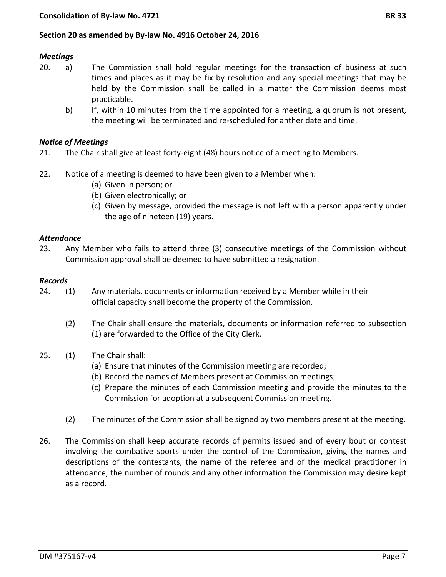## **Section 20 as amended by By-law No. 4916 October 24, 2016**

#### *Meetings*

- 20. a) The Commission shall hold regular meetings for the transaction of business at such times and places as it may be fix by resolution and any special meetings that may be held by the Commission shall be called in a matter the Commission deems most practicable.
	- b) If, within 10 minutes from the time appointed for a meeting, a quorum is not present, the meeting will be terminated and re-scheduled for anther date and time.

#### *Notice of Meetings*

- 21. The Chair shall give at least forty-eight (48) hours notice of a meeting to Members.
- 22. Notice of a meeting is deemed to have been given to a Member when:
	- (a) Given in person; or
	- (b) Given electronically; or
	- (c) Given by message, provided the message is not left with a person apparently under the age of nineteen (19) years.

## *Attendance*

23. Any Member who fails to attend three (3) consecutive meetings of the Commission without Commission approval shall be deemed to have submitted a resignation.

#### *Records*

- 24. (1) Any materials, documents or information received by a Member while in their official capacity shall become the property of the Commission.
	- (2) The Chair shall ensure the materials, documents or information referred to subsection (1) are forwarded to the Office of the City Clerk.
- 25. (1) The Chair shall:
	- (a) Ensure that minutes of the Commission meeting are recorded;
	- (b) Record the names of Members present at Commission meetings;
	- (c) Prepare the minutes of each Commission meeting and provide the minutes to the Commission for adoption at a subsequent Commission meeting.
	- (2) The minutes of the Commission shall be signed by two members present at the meeting.
- 26. The Commission shall keep accurate records of permits issued and of every bout or contest involving the combative sports under the control of the Commission, giving the names and descriptions of the contestants, the name of the referee and of the medical practitioner in attendance, the number of rounds and any other information the Commission may desire kept as a record.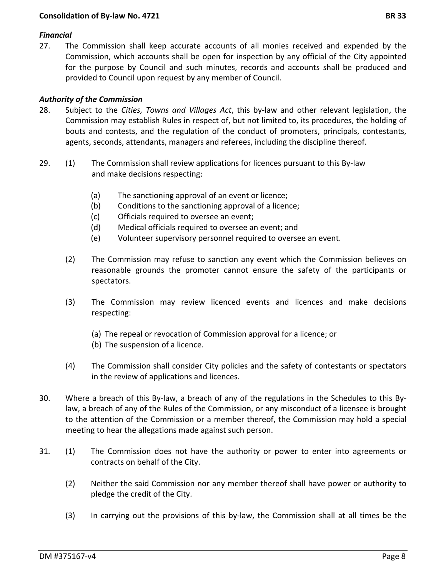# *Financial*

27. The Commission shall keep accurate accounts of all monies received and expended by the Commission, which accounts shall be open for inspection by any official of the City appointed for the purpose by Council and such minutes, records and accounts shall be produced and provided to Council upon request by any member of Council.

# *Authority of the Commission*

- 28. Subject to the *Cities, Towns and Villages Act*, this by-law and other relevant legislation, the Commission may establish Rules in respect of, but not limited to, its procedures, the holding of bouts and contests, and the regulation of the conduct of promoters, principals, contestants, agents, seconds, attendants, managers and referees, including the discipline thereof.
- 29. (1) The Commission shall review applications for licences pursuant to this By-law and make decisions respecting:
	- (a) The sanctioning approval of an event or licence;
	- (b) Conditions to the sanctioning approval of a licence;
	- (c) Officials required to oversee an event;
	- (d) Medical officials required to oversee an event; and
	- (e) Volunteer supervisory personnel required to oversee an event.
	- (2) The Commission may refuse to sanction any event which the Commission believes on reasonable grounds the promoter cannot ensure the safety of the participants or spectators.
	- (3) The Commission may review licenced events and licences and make decisions respecting:
		- (a) The repeal or revocation of Commission approval for a licence; or
		- (b) The suspension of a licence.
	- (4) The Commission shall consider City policies and the safety of contestants or spectators in the review of applications and licences.
- 30. Where a breach of this By-law, a breach of any of the regulations in the Schedules to this Bylaw, a breach of any of the Rules of the Commission, or any misconduct of a licensee is brought to the attention of the Commission or a member thereof, the Commission may hold a special meeting to hear the allegations made against such person.
- 31. (1) The Commission does not have the authority or power to enter into agreements or contracts on behalf of the City.
	- (2) Neither the said Commission nor any member thereof shall have power or authority to pledge the credit of the City.
	- (3) In carrying out the provisions of this by-law, the Commission shall at all times be the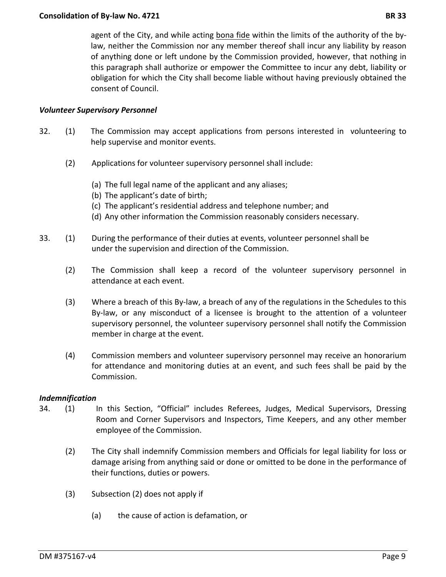agent of the City, and while acting bona fide within the limits of the authority of the bylaw, neither the Commission nor any member thereof shall incur any liability by reason of anything done or left undone by the Commission provided, however, that nothing in this paragraph shall authorize or empower the Committee to incur any debt, liability or obligation for which the City shall become liable without having previously obtained the consent of Council.

## *Volunteer Supervisory Personnel*

- 32. (1) The Commission may accept applications from persons interested in volunteering to help supervise and monitor events.
	- (2) Applications for volunteer supervisory personnel shall include:
		- (a) The full legal name of the applicant and any aliases;
		- (b) The applicant's date of birth;
		- (c) The applicant's residential address and telephone number; and
		- (d) Any other information the Commission reasonably considers necessary.
- 33. (1) During the performance of their duties at events, volunteer personnel shall be under the supervision and direction of the Commission.
	- (2) The Commission shall keep a record of the volunteer supervisory personnel in attendance at each event.
	- (3) Where a breach of this By-law, a breach of any of the regulations in the Schedules to this By-law, or any misconduct of a licensee is brought to the attention of a volunteer supervisory personnel, the volunteer supervisory personnel shall notify the Commission member in charge at the event.
	- (4) Commission members and volunteer supervisory personnel may receive an honorarium for attendance and monitoring duties at an event, and such fees shall be paid by the Commission.

## *Indemnification*

- 34. (1) In this Section, "Official" includes Referees, Judges, Medical Supervisors, Dressing Room and Corner Supervisors and Inspectors, Time Keepers, and any other member employee of the Commission.
	- (2) The City shall indemnify Commission members and Officials for legal liability for loss or damage arising from anything said or done or omitted to be done in the performance of their functions, duties or powers.
	- (3) Subsection (2) does not apply if
		- (a) the cause of action is defamation, or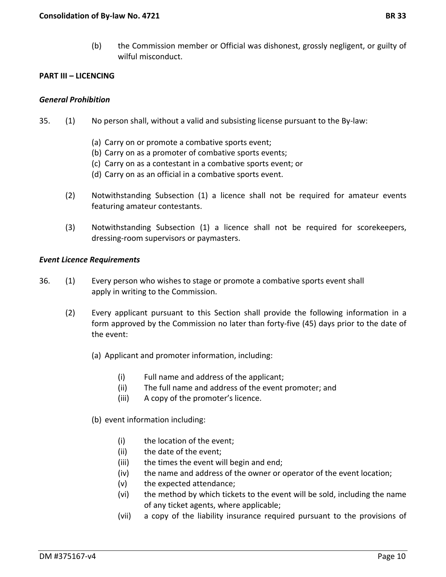(b) the Commission member or Official was dishonest, grossly negligent, or guilty of wilful misconduct.

#### **PART III – LICENCING**

#### *General Prohibition*

- 35. (1) No person shall, without a valid and subsisting license pursuant to the By-law:
	- (a) Carry on or promote a combative sports event;
	- (b) Carry on as a promoter of combative sports events;
	- (c) Carry on as a contestant in a combative sports event; or
	- (d) Carry on as an official in a combative sports event.
	- (2) Notwithstanding Subsection (1) a licence shall not be required for amateur events featuring amateur contestants.
	- (3) Notwithstanding Subsection (1) a licence shall not be required for scorekeepers, dressing-room supervisors or paymasters.

#### *Event Licence Requirements*

- 36. (1) Every person who wishes to stage or promote a combative sports event shall apply in writing to the Commission.
	- (2) Every applicant pursuant to this Section shall provide the following information in a form approved by the Commission no later than forty-five (45) days prior to the date of the event:
		- (a) Applicant and promoter information, including:
			- (i) Full name and address of the applicant;
			- (ii) The full name and address of the event promoter; and
			- (iii) A copy of the promoter's licence.
		- (b) event information including:
			- (i) the location of the event;
			- (ii) the date of the event;
			- (iii) the times the event will begin and end;
			- (iv) the name and address of the owner or operator of the event location;
			- (v) the expected attendance;
			- (vi) the method by which tickets to the event will be sold, including the name of any ticket agents, where applicable;
			- (vii) a copy of the liability insurance required pursuant to the provisions of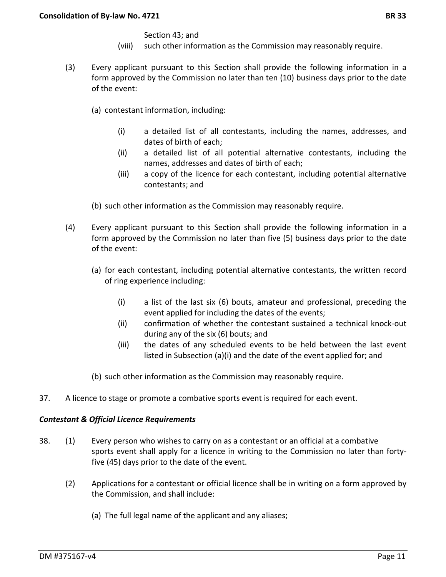Section 43; and

- (viii) such other information as the Commission may reasonably require.
- (3) Every applicant pursuant to this Section shall provide the following information in a form approved by the Commission no later than ten (10) business days prior to the date of the event:
	- (a) contestant information, including:
		- (i) a detailed list of all contestants, including the names, addresses, and dates of birth of each;
		- (ii) a detailed list of all potential alternative contestants, including the names, addresses and dates of birth of each;
		- (iii) a copy of the licence for each contestant, including potential alternative contestants; and
	- (b) such other information as the Commission may reasonably require.
- (4) Every applicant pursuant to this Section shall provide the following information in a form approved by the Commission no later than five (5) business days prior to the date of the event:
	- (a) for each contestant, including potential alternative contestants, the written record of ring experience including:
		- (i) a list of the last six (6) bouts, amateur and professional, preceding the event applied for including the dates of the events;
		- (ii) confirmation of whether the contestant sustained a technical knock-out during any of the six (6) bouts; and
		- (iii) the dates of any scheduled events to be held between the last event listed in Subsection (a)(i) and the date of the event applied for; and
	- (b) such other information as the Commission may reasonably require.
- 37. A licence to stage or promote a combative sports event is required for each event.

# *Contestant & Official Licence Requirements*

- 38. (1) Every person who wishes to carry on as a contestant or an official at a combative sports event shall apply for a licence in writing to the Commission no later than fortyfive (45) days prior to the date of the event.
	- (2) Applications for a contestant or official licence shall be in writing on a form approved by the Commission, and shall include:
		- (a) The full legal name of the applicant and any aliases;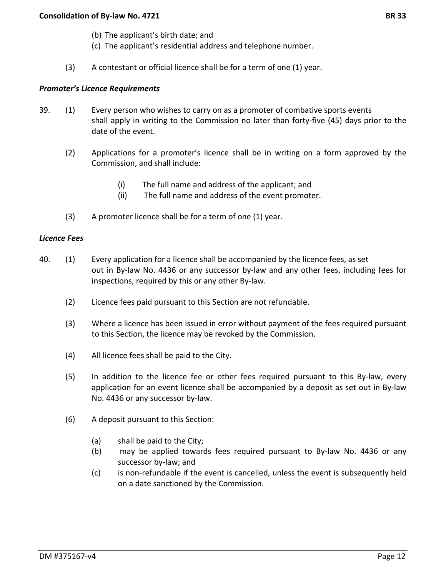- (b) The applicant's birth date; and
- (c) The applicant's residential address and telephone number.
- (3) A contestant or official licence shall be for a term of one (1) year.

## *Promoter's Licence Requirements*

- 39. (1) Every person who wishes to carry on as a promoter of combative sports events shall apply in writing to the Commission no later than forty-five (45) days prior to the date of the event.
	- (2) Applications for a promoter's licence shall be in writing on a form approved by the Commission, and shall include:
		- (i) The full name and address of the applicant; and
		- (ii) The full name and address of the event promoter.
	- (3) A promoter licence shall be for a term of one (1) year.

#### *Licence Fees*

- 40. (1) Every application for a licence shall be accompanied by the licence fees, as set out in By-law No. 4436 or any successor by-law and any other fees, including fees for inspections, required by this or any other By-law.
	- (2) Licence fees paid pursuant to this Section are not refundable.
	- (3) Where a licence has been issued in error without payment of the fees required pursuant to this Section, the licence may be revoked by the Commission.
	- (4) All licence fees shall be paid to the City.
	- (5) In addition to the licence fee or other fees required pursuant to this By-law, every application for an event licence shall be accompanied by a deposit as set out in By-law No. 4436 or any successor by-law.
	- (6) A deposit pursuant to this Section:
		- (a) shall be paid to the City;
		- (b) may be applied towards fees required pursuant to By-law No. 4436 or any successor by-law; and
		- (c) is non-refundable if the event is cancelled, unless the event is subsequently held on a date sanctioned by the Commission.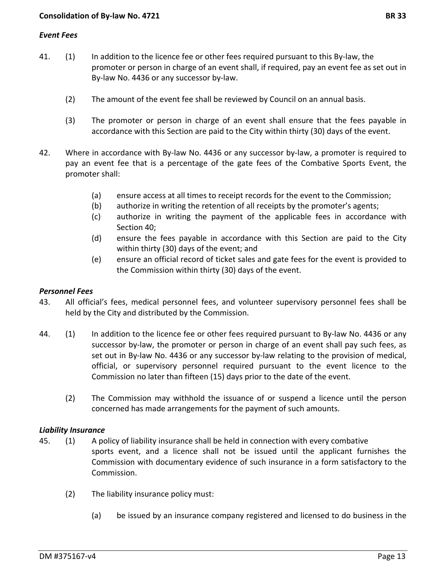## *Event Fees*

- 41. (1) In addition to the licence fee or other fees required pursuant to this By-law, the promoter or person in charge of an event shall, if required, pay an event fee as set out in By-law No. 4436 or any successor by-law.
	- (2) The amount of the event fee shall be reviewed by Council on an annual basis.
	- (3) The promoter or person in charge of an event shall ensure that the fees payable in accordance with this Section are paid to the City within thirty (30) days of the event.
- 42. Where in accordance with By-law No. 4436 or any successor by-law, a promoter is required to pay an event fee that is a percentage of the gate fees of the Combative Sports Event, the promoter shall:
	- (a) ensure access at all times to receipt records for the event to the Commission;
	- (b) authorize in writing the retention of all receipts by the promoter's agents;
	- (c) authorize in writing the payment of the applicable fees in accordance with Section 40;
	- (d) ensure the fees payable in accordance with this Section are paid to the City within thirty (30) days of the event; and
	- (e) ensure an official record of ticket sales and gate fees for the event is provided to the Commission within thirty (30) days of the event.

## *Personnel Fees*

- 43. All official's fees, medical personnel fees, and volunteer supervisory personnel fees shall be held by the City and distributed by the Commission.
- 44. (1) In addition to the licence fee or other fees required pursuant to By-law No. 4436 or any successor by-law, the promoter or person in charge of an event shall pay such fees, as set out in By-law No. 4436 or any successor by-law relating to the provision of medical, official, or supervisory personnel required pursuant to the event licence to the Commission no later than fifteen (15) days prior to the date of the event.
	- (2) The Commission may withhold the issuance of or suspend a licence until the person concerned has made arrangements for the payment of such amounts.

## *Liability Insurance*

- 45. (1) A policy of liability insurance shall be held in connection with every combative sports event, and a licence shall not be issued until the applicant furnishes the Commission with documentary evidence of such insurance in a form satisfactory to the Commission.
	- (2) The liability insurance policy must:
		- (a) be issued by an insurance company registered and licensed to do business in the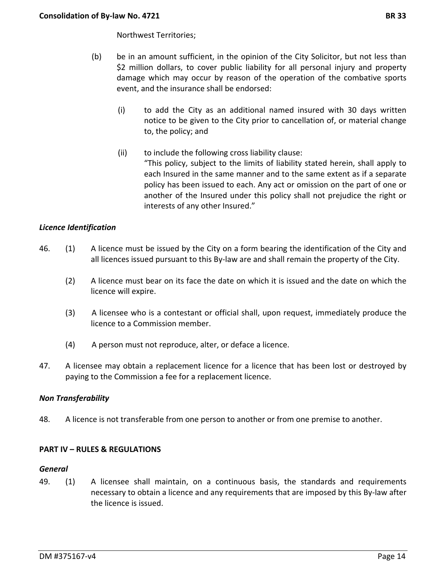- (b) be in an amount sufficient, in the opinion of the City Solicitor, but not less than \$2 million dollars, to cover public liability for all personal injury and property damage which may occur by reason of the operation of the combative sports event, and the insurance shall be endorsed:
	- (i) to add the City as an additional named insured with 30 days written notice to be given to the City prior to cancellation of, or material change to, the policy; and
	- (ii) to include the following cross liability clause: "This policy, subject to the limits of liability stated herein, shall apply to each Insured in the same manner and to the same extent as if a separate policy has been issued to each. Any act or omission on the part of one or another of the Insured under this policy shall not prejudice the right or interests of any other Insured."

# *Licence Identification*

- 46. (1) A licence must be issued by the City on a form bearing the identification of the City and all licences issued pursuant to this By-law are and shall remain the property of the City.
	- (2) A licence must bear on its face the date on which it is issued and the date on which the licence will expire.
	- (3) A licensee who is a contestant or official shall, upon request, immediately produce the licence to a Commission member.
	- (4) A person must not reproduce, alter, or deface a licence.
- 47. A licensee may obtain a replacement licence for a licence that has been lost or destroyed by paying to the Commission a fee for a replacement licence.

## *Non Transferability*

48. A licence is not transferable from one person to another or from one premise to another.

## **PART IV – RULES & REGULATIONS**

#### *General*

49. (1) A licensee shall maintain, on a continuous basis, the standards and requirements necessary to obtain a licence and any requirements that are imposed by this By-law after the licence is issued.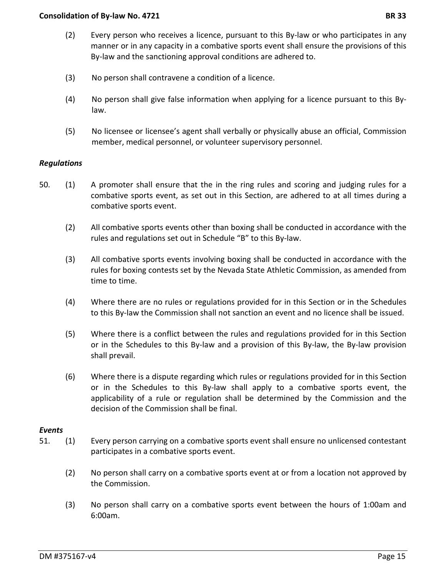- (2) Every person who receives a licence, pursuant to this By-law or who participates in any manner or in any capacity in a combative sports event shall ensure the provisions of this By-law and the sanctioning approval conditions are adhered to.
- (3) No person shall contravene a condition of a licence.
- (4) No person shall give false information when applying for a licence pursuant to this Bylaw.
- (5) No licensee or licensee's agent shall verbally or physically abuse an official, Commission member, medical personnel, or volunteer supervisory personnel.

## *Regulations*

- 50. (1) A promoter shall ensure that the in the ring rules and scoring and judging rules for a combative sports event, as set out in this Section, are adhered to at all times during a combative sports event.
	- (2) All combative sports events other than boxing shall be conducted in accordance with the rules and regulations set out in Schedule "B" to this By-law.
	- (3) All combative sports events involving boxing shall be conducted in accordance with the rules for boxing contests set by the Nevada State Athletic Commission, as amended from time to time.
	- (4) Where there are no rules or regulations provided for in this Section or in the Schedules to this By-law the Commission shall not sanction an event and no licence shall be issued.
	- (5) Where there is a conflict between the rules and regulations provided for in this Section or in the Schedules to this By-law and a provision of this By-law, the By-law provision shall prevail.
	- (6) Where there is a dispute regarding which rules or regulations provided for in this Section or in the Schedules to this By-law shall apply to a combative sports event, the applicability of a rule or regulation shall be determined by the Commission and the decision of the Commission shall be final.

## *Events*

- 51. (1) Every person carrying on a combative sports event shall ensure no unlicensed contestant participates in a combative sports event.
	- (2) No person shall carry on a combative sports event at or from a location not approved by the Commission.
	- (3) No person shall carry on a combative sports event between the hours of 1:00am and 6:00am.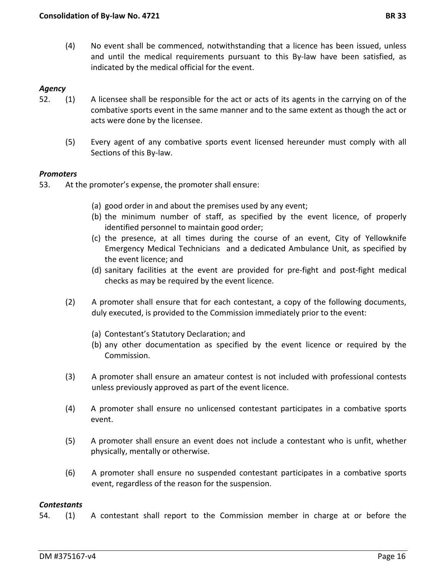(4) No event shall be commenced, notwithstanding that a licence has been issued, unless and until the medical requirements pursuant to this By-law have been satisfied, as indicated by the medical official for the event.

## *Agency*

- 52. (1) A licensee shall be responsible for the act or acts of its agents in the carrying on of the combative sports event in the same manner and to the same extent as though the act or acts were done by the licensee.
	- (5) Every agent of any combative sports event licensed hereunder must comply with all Sections of this By-law.

#### *Promoters*

53. At the promoter's expense, the promoter shall ensure:

- (a) good order in and about the premises used by any event;
- (b) the minimum number of staff, as specified by the event licence, of properly identified personnel to maintain good order;
- (c) the presence, at all times during the course of an event, City of Yellowknife Emergency Medical Technicians and a dedicated Ambulance Unit, as specified by the event licence; and
- (d) sanitary facilities at the event are provided for pre-fight and post-fight medical checks as may be required by the event licence.
- (2) A promoter shall ensure that for each contestant, a copy of the following documents, duly executed, is provided to the Commission immediately prior to the event:
	- (a) Contestant's Statutory Declaration; and
	- (b) any other documentation as specified by the event licence or required by the Commission.
- (3) A promoter shall ensure an amateur contest is not included with professional contests unless previously approved as part of the event licence.
- (4) A promoter shall ensure no unlicensed contestant participates in a combative sports event.
- (5) A promoter shall ensure an event does not include a contestant who is unfit, whether physically, mentally or otherwise.
- (6) A promoter shall ensure no suspended contestant participates in a combative sports event, regardless of the reason for the suspension.

#### *Contestants*

54. (1) A contestant shall report to the Commission member in charge at or before the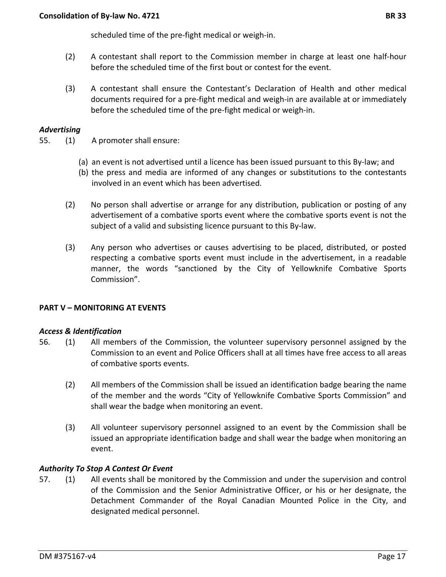scheduled time of the pre-fight medical or weigh-in.

- (2) A contestant shall report to the Commission member in charge at least one half-hour before the scheduled time of the first bout or contest for the event.
- (3) A contestant shall ensure the Contestant's Declaration of Health and other medical documents required for a pre-fight medical and weigh-in are available at or immediately before the scheduled time of the pre-fight medical or weigh-in.

## *Advertising*

- 55. (1) A promoter shall ensure:
	- (a) an event is not advertised until a licence has been issued pursuant to this By-law; and
	- (b) the press and media are informed of any changes or substitutions to the contestants involved in an event which has been advertised.
	- (2) No person shall advertise or arrange for any distribution, publication or posting of any advertisement of a combative sports event where the combative sports event is not the subject of a valid and subsisting licence pursuant to this By-law.
	- (3) Any person who advertises or causes advertising to be placed, distributed, or posted respecting a combative sports event must include in the advertisement, in a readable manner, the words "sanctioned by the City of Yellowknife Combative Sports Commission".

## **PART V – MONITORING AT EVENTS**

## *Access & Identification*

- 56. (1) All members of the Commission, the volunteer supervisory personnel assigned by the Commission to an event and Police Officers shall at all times have free access to all areas of combative sports events.
	- (2) All members of the Commission shall be issued an identification badge bearing the name of the member and the words "City of Yellowknife Combative Sports Commission" and shall wear the badge when monitoring an event.
	- (3) All volunteer supervisory personnel assigned to an event by the Commission shall be issued an appropriate identification badge and shall wear the badge when monitoring an event.

## *Authority To Stop A Contest Or Event*

57. (1) All events shall be monitored by the Commission and under the supervision and control of the Commission and the Senior Administrative Officer, or his or her designate, the Detachment Commander of the Royal Canadian Mounted Police in the City, and designated medical personnel.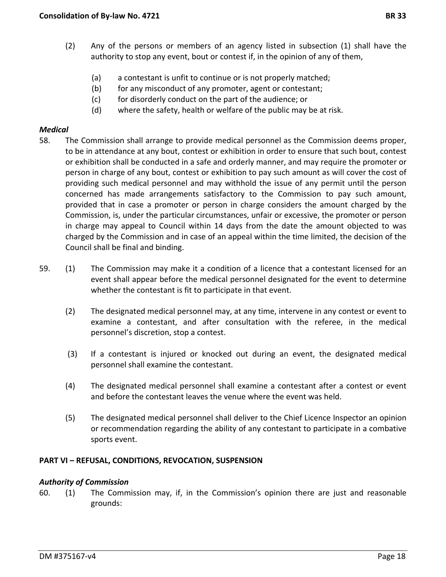- (2) Any of the persons or members of an agency listed in subsection (1) shall have the authority to stop any event, bout or contest if, in the opinion of any of them,
	- (a) a contestant is unfit to continue or is not properly matched;
	- (b) for any misconduct of any promoter, agent or contestant;
	- (c) for disorderly conduct on the part of the audience; or
	- (d) where the safety, health or welfare of the public may be at risk.

## *Medical*

- 58. The Commission shall arrange to provide medical personnel as the Commission deems proper, to be in attendance at any bout, contest or exhibition in order to ensure that such bout, contest or exhibition shall be conducted in a safe and orderly manner, and may require the promoter or person in charge of any bout, contest or exhibition to pay such amount as will cover the cost of providing such medical personnel and may withhold the issue of any permit until the person concerned has made arrangements satisfactory to the Commission to pay such amount, provided that in case a promoter or person in charge considers the amount charged by the Commission, is, under the particular circumstances, unfair or excessive, the promoter or person in charge may appeal to Council within 14 days from the date the amount objected to was charged by the Commission and in case of an appeal within the time limited, the decision of the Council shall be final and binding.
- 59. (1) The Commission may make it a condition of a licence that a contestant licensed for an event shall appear before the medical personnel designated for the event to determine whether the contestant is fit to participate in that event.
	- (2) The designated medical personnel may, at any time, intervene in any contest or event to examine a contestant, and after consultation with the referee, in the medical personnel's discretion, stop a contest.
	- (3) If a contestant is injured or knocked out during an event, the designated medical personnel shall examine the contestant.
	- (4) The designated medical personnel shall examine a contestant after a contest or event and before the contestant leaves the venue where the event was held.
	- (5) The designated medical personnel shall deliver to the Chief Licence Inspector an opinion or recommendation regarding the ability of any contestant to participate in a combative sports event.

# **PART VI – REFUSAL, CONDITIONS, REVOCATION, SUSPENSION**

## *Authority of Commission*

60. (1) The Commission may, if, in the Commission's opinion there are just and reasonable grounds: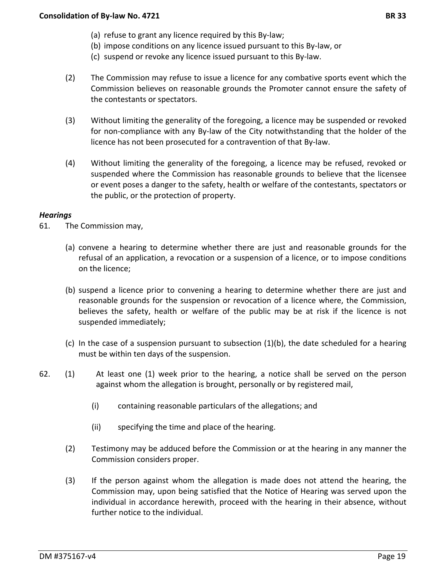- (b) impose conditions on any licence issued pursuant to this By-law, or
- (c) suspend or revoke any licence issued pursuant to this By-law.
- (2) The Commission may refuse to issue a licence for any combative sports event which the Commission believes on reasonable grounds the Promoter cannot ensure the safety of the contestants or spectators.
- (3) Without limiting the generality of the foregoing, a licence may be suspended or revoked for non-compliance with any By-law of the City notwithstanding that the holder of the licence has not been prosecuted for a contravention of that By-law.
- (4) Without limiting the generality of the foregoing, a licence may be refused, revoked or suspended where the Commission has reasonable grounds to believe that the licensee or event poses a danger to the safety, health or welfare of the contestants, spectators or the public, or the protection of property.

## *Hearings*

61. The Commission may,

- (a) convene a hearing to determine whether there are just and reasonable grounds for the refusal of an application, a revocation or a suspension of a licence, or to impose conditions on the licence;
- (b) suspend a licence prior to convening a hearing to determine whether there are just and reasonable grounds for the suspension or revocation of a licence where, the Commission, believes the safety, health or welfare of the public may be at risk if the licence is not suspended immediately;
- (c) In the case of a suspension pursuant to subsection (1)(b), the date scheduled for a hearing must be within ten days of the suspension.
- 62. (1) At least one (1) week prior to the hearing, a notice shall be served on the person against whom the allegation is brought, personally or by registered mail,
	- (i) containing reasonable particulars of the allegations; and
	- (ii) specifying the time and place of the hearing.
	- (2) Testimony may be adduced before the Commission or at the hearing in any manner the Commission considers proper.
	- (3) If the person against whom the allegation is made does not attend the hearing, the Commission may, upon being satisfied that the Notice of Hearing was served upon the individual in accordance herewith, proceed with the hearing in their absence, without further notice to the individual.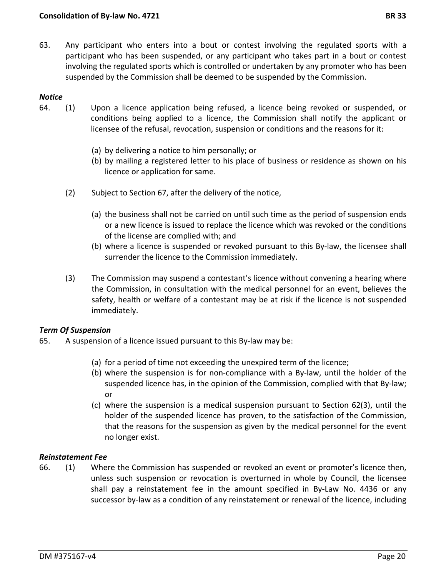- 
- 63. Any participant who enters into a bout or contest involving the regulated sports with a participant who has been suspended, or any participant who takes part in a bout or contest involving the regulated sports which is controlled or undertaken by any promoter who has been suspended by the Commission shall be deemed to be suspended by the Commission.

## *Notice*

- 64. (1) Upon a licence application being refused, a licence being revoked or suspended, or conditions being applied to a licence, the Commission shall notify the applicant or licensee of the refusal, revocation, suspension or conditions and the reasons for it:
	- (a) by delivering a notice to him personally; or
	- (b) by mailing a registered letter to his place of business or residence as shown on his licence or application for same.
	- (2) Subject to Section 67, after the delivery of the notice,
		- (a) the business shall not be carried on until such time as the period of suspension ends or a new licence is issued to replace the licence which was revoked or the conditions of the license are complied with; and
		- (b) where a licence is suspended or revoked pursuant to this By-law, the licensee shall surrender the licence to the Commission immediately.
	- (3) The Commission may suspend a contestant's licence without convening a hearing where the Commission, in consultation with the medical personnel for an event, believes the safety, health or welfare of a contestant may be at risk if the licence is not suspended immediately.

# *Term Of Suspension*

- 65. A suspension of a licence issued pursuant to this By-law may be:
	- (a) for a period of time not exceeding the unexpired term of the licence;
	- (b) where the suspension is for non-compliance with a By-law, until the holder of the suspended licence has, in the opinion of the Commission, complied with that By-law; or
	- (c) where the suspension is a medical suspension pursuant to Section 62(3), until the holder of the suspended licence has proven, to the satisfaction of the Commission, that the reasons for the suspension as given by the medical personnel for the event no longer exist.

## *Reinstatement Fee*

66. (1) Where the Commission has suspended or revoked an event or promoter's licence then, unless such suspension or revocation is overturned in whole by Council, the licensee shall pay a reinstatement fee in the amount specified in By-Law No. 4436 or any successor by-law as a condition of any reinstatement or renewal of the licence, including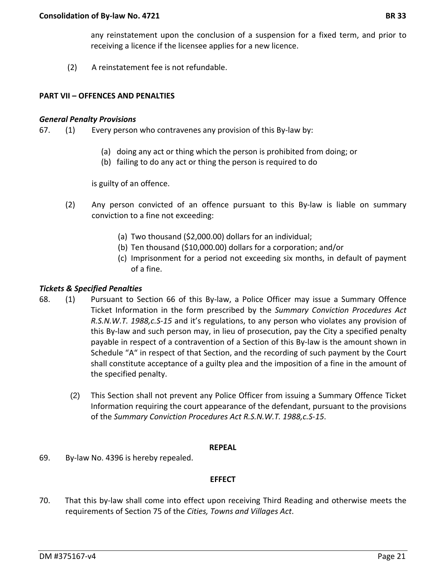(2) A reinstatement fee is not refundable.

## **PART VII – OFFENCES AND PENALTIES**

#### *General Penalty Provisions*

- 67. (1) Every person who contravenes any provision of this By-law by:
	- (a) doing any act or thing which the person is prohibited from doing; or
	- (b) failing to do any act or thing the person is required to do

is guilty of an offence.

- (2) Any person convicted of an offence pursuant to this By-law is liable on summary conviction to a fine not exceeding:
	- (a) Two thousand (\$2,000.00) dollars for an individual;
	- (b) Ten thousand (\$10,000.00) dollars for a corporation; and/or
	- (c) Imprisonment for a period not exceeding six months, in default of payment of a fine.

## *Tickets & Specified Penalties*

- 68. (1) Pursuant to Section 66 of this By-law, a Police Officer may issue a Summary Offence Ticket Information in the form prescribed by the *Summary Conviction Procedures Act R.S.N.W.T. 1988,c.S-15* and it's regulations, to any person who violates any provision of this By-law and such person may, in lieu of prosecution, pay the City a specified penalty payable in respect of a contravention of a Section of this By-law is the amount shown in Schedule "A" in respect of that Section, and the recording of such payment by the Court shall constitute acceptance of a guilty plea and the imposition of a fine in the amount of the specified penalty.
	- (2) This Section shall not prevent any Police Officer from issuing a Summary Offence Ticket Information requiring the court appearance of the defendant, pursuant to the provisions of the *Summary Conviction Procedures Act R.S.N.W.T. 1988,c.S-15*.

## **REPEAL**

69. By-law No. 4396 is hereby repealed.

## **EFFECT**

70. That this by-law shall come into effect upon receiving Third Reading and otherwise meets the requirements of Section 75 of the *Cities, Towns and Villages Act*.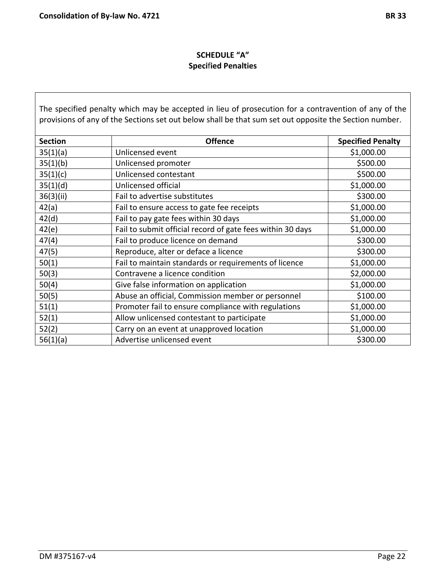# **SCHEDULE "A" Speci**f**ied Penalties**

The specified penalty which may be accepted in lieu of prosecution for a contravention of any of the provisions of any of the Sections set out below shall be that sum set out opposite the Section number.

| <b>Section</b> | <b>Offence</b>                                             | <b>Specified Penalty</b> |
|----------------|------------------------------------------------------------|--------------------------|
| 35(1)(a)       | Unlicensed event                                           | \$1,000.00               |
| 35(1)(b)       | Unlicensed promoter                                        | \$500.00                 |
| 35(1)(c)       | Unlicensed contestant                                      | \$500.00                 |
| 35(1)(d)       | Unlicensed official                                        | \$1,000.00               |
| 36(3)(ii)      | Fail to advertise substitutes                              | \$300.00                 |
| 42(a)          | Fail to ensure access to gate fee receipts                 | \$1,000.00               |
| 42(d)          | Fail to pay gate fees within 30 days                       | \$1,000.00               |
| 42(e)          | Fail to submit official record of gate fees within 30 days | \$1,000.00               |
| 47(4)          | Fail to produce licence on demand                          | \$300.00                 |
| 47(5)          | Reproduce, alter or deface a licence                       | \$300.00                 |
| 50(1)          | Fail to maintain standards or requirements of licence      | \$1,000.00               |
| 50(3)          | Contravene a licence condition                             | \$2,000.00               |
| 50(4)          | Give false information on application                      | \$1,000.00               |
| 50(5)          | Abuse an official, Commission member or personnel          | \$100.00                 |
| 51(1)          | Promoter fail to ensure compliance with regulations        | \$1,000.00               |
| 52(1)          | Allow unlicensed contestant to participate                 | \$1,000.00               |
| 52(2)          | Carry on an event at unapproved location                   | \$1,000.00               |
| 56(1)(a)       | Advertise unlicensed event                                 | \$300.00                 |